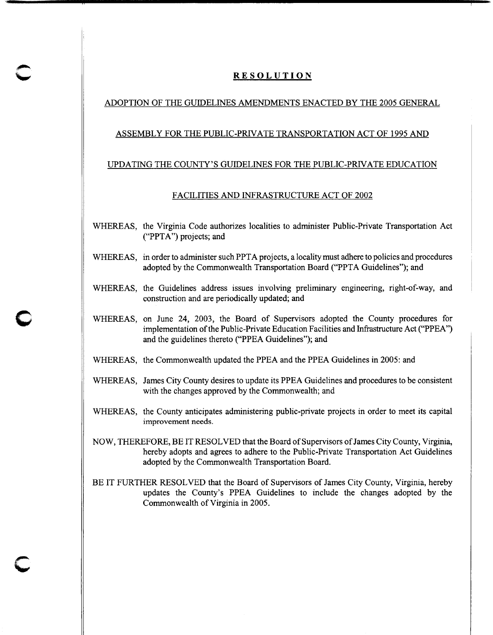# **RESOLUTION**

## ADOPTION OF THE GUIDELINES AMENDMENTS ENACTED BY THE 2005 GENERAL

#### ASSEMBLY FOR THE PUBLIC-PRIVATE TRANSPORTATION ACT OF 1995 AND

### UPDATING THE COUNTY'S GUIDELINES FOR THE PUBLIC-PRIVATE EDUCATION

#### FACILITIES AND INFRASTRUCTURE ACT OF 2002

- WHEREAS, the Virginia Code authorizes localities to administer Public-Private Transportation Act ("PPTA") projects; and
- WHEREAS, in order to administer such PPTA projects, a locality must adhere to policies and procedures adopted by the Commonwealth Transportation Board ("PPTA Guidelines"); and
- WHEREAS, the Guidelines address issues involving preliminary engineering, right-of-way, and construction and are periodically updated; and
- WHEREAS, on June 24, 2003, the Board of Supervisors adopted the County procedures for implementation of the Public-Private Education Facilities and Infrastructure Act ("PPEA") and the guidelines thereto ("PPEA Guidelines"); and
- WHEREAS, the Commonwealth updated the PPEA and the PPEA Guidelines in 2005: and

**c** 

**c** 

- WHEREAS, James City County desires to update its PPEA Guidelines and procedures to be consistent with the changes approved by the Commonwealth; and
- WHEREAS, the County anticipates administering public-private projects in order to meet its capital improvement needs.
- NOW, THEREFORE, BE IT RESOLVED that the Board of Supervisors of James City County, Virginia, hereby adopts and agrees to adhere to the Public-Private Transportation Act Guidelines adopted by the Commonwealth Transportation Board.
- BE IT FURTHER RESOLVED that the Board of Supervisors of James City County, Virginia, hereby updates the County's PPEA Guidelines to include the changes adopted by the Commonwealth of Virginia in 2005.